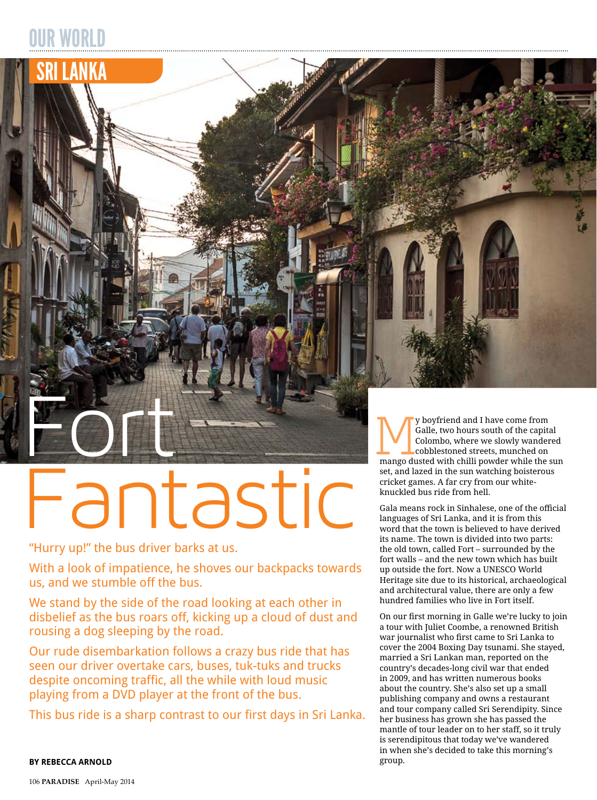## OUR WORLD

SRI LANKA



"Hurry up!" the bus driver barks at us.

With a look of impatience, he shoves our backpacks towards us, and we stumble off the bus.

We stand by the side of the road looking at each other in disbelief as the bus roars off, kicking up a cloud of dust and rousing a dog sleeping by the road.

Our rude disembarkation follows a crazy bus ride that has seen our driver overtake cars, buses, tuk-tuks and trucks despite oncoming traffic, all the while with loud music playing from a DVD player at the front of the bus.

This bus ride is a sharp contrast to our first days in Sri Lanka.

y boyfriend and I have come from Galle, two hours south of the capital Colombo, where we slowly wandered cobblestoned streets, munched on y boyfriend and I have come from<br>Galle, two hours south of the capital<br>Colombo, where we slowly wandered<br>cobblestoned streets, munched on<br>mango dusted with chilli powder while the sun<br>set and lazed in the sun watching bois set, and lazed in the sun watching boisterous cricket games. A far cry from our whiteknuckled bus ride from hell.

Gala means rock in Sinhalese, one of the official languages of Sri Lanka, and it is from this word that the town is believed to have derived its name. The town is divided into two parts: the old town, called Fort – surrounded by the fort walls – and the new town which has built up outside the fort. Now a UNESCO World Heritage site due to its historical, archaeological and architectural value, there are only a few hundred families who live in Fort itself.

On our first morning in Galle we're lucky to join a tour with Juliet Coombe, a renowned British war journalist who first came to Sri Lanka to cover the 2004 Boxing Day tsunami. She stayed, married a Sri Lankan man, reported on the country's decades-long civil war that ended in 2009, and has written numerous books about the country. She's also set up a small publishing company and owns a restaurant and tour company called Sri Serendipity. Since her business has grown she has passed the mantle of tour leader on to her staff, so it truly is serendipitous that today we've wandered in when she's decided to take this morning's group.

**by rebecca arnold**

106 **Paradise** April-May 2014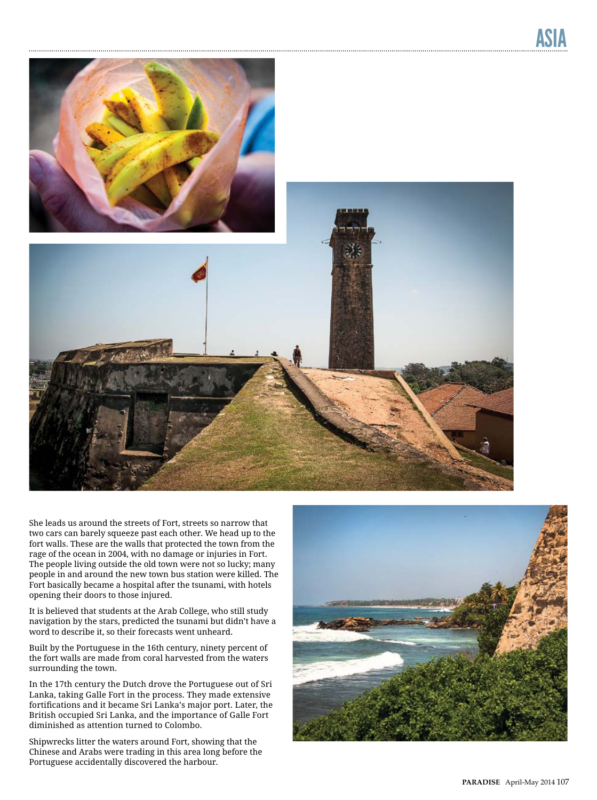

She leads us around the streets of Fort, streets so narrow that two cars can barely squeeze past each other. We head up to the fort walls. These are the walls that protected the town from the rage of the ocean in 2004, with no damage or injuries in Fort. The people living outside the old town were not so lucky; many people in and around the new town bus station were killed. The Fort basically became a hospital after the tsunami, with hotels opening their doors to those injured.

It is believed that students at the Arab College, who still study navigation by the stars, predicted the tsunami but didn't have a word to describe it, so their forecasts went unheard.

Built by the Portuguese in the 16th century, ninety percent of the fort walls are made from coral harvested from the waters surrounding the town.

In the 17th century the Dutch drove the Portuguese out of Sri Lanka, taking Galle Fort in the process. They made extensive fortifications and it became Sri Lanka's major port. Later, the British occupied Sri Lanka, and the importance of Galle Fort diminished as attention turned to Colombo.

Shipwrecks litter the waters around Fort, showing that the Chinese and Arabs were trading in this area long before the Portuguese accidentally discovered the harbour.

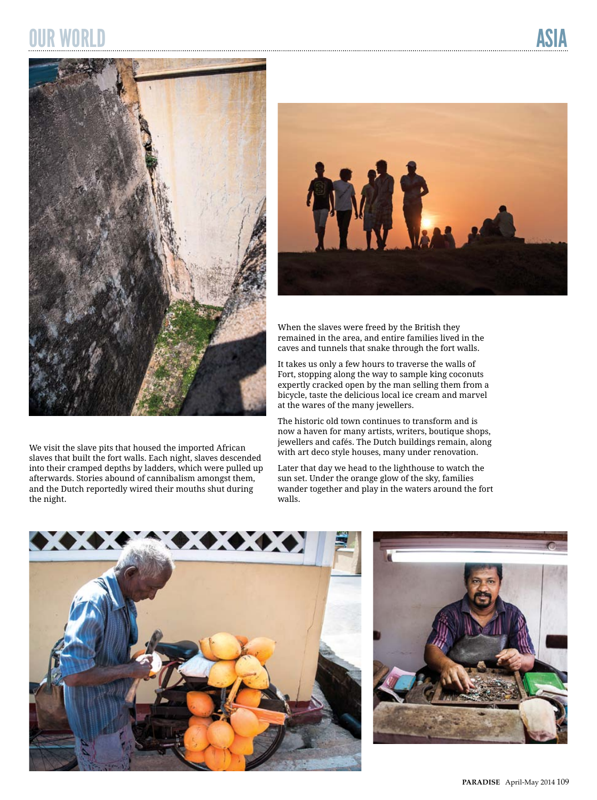## OUR WORLD ASIA



We visit the slave pits that housed the imported African slaves that built the fort walls. Each night, slaves descended into their cramped depths by ladders, which were pulled up afterwards. Stories abound of cannibalism amongst them, and the Dutch reportedly wired their mouths shut during the night.



When the slaves were freed by the British they remained in the area, and entire families lived in the caves and tunnels that snake through the fort walls.

It takes us only a few hours to traverse the walls of Fort, stopping along the way to sample king coconuts expertly cracked open by the man selling them from a bicycle, taste the delicious local ice cream and marvel at the wares of the many jewellers.

The historic old town continues to transform and is now a haven for many artists, writers, boutique shops, jewellers and cafés. The Dutch buildings remain, along with art deco style houses, many under renovation.

Later that day we head to the lighthouse to watch the sun set. Under the orange glow of the sky, families wander together and play in the waters around the fort walls.



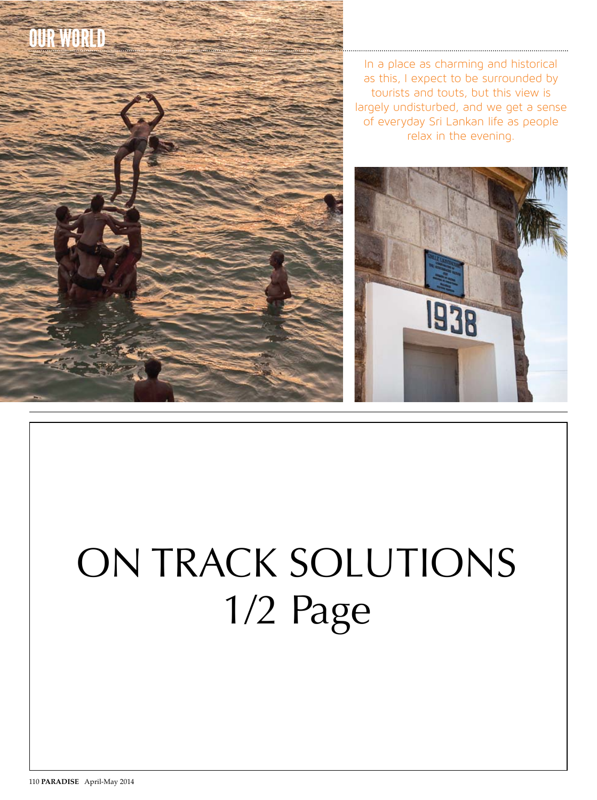

In a place as charming and historical as this, I expect to be surrounded by tourists and touts, but this view is largely undisturbed, and we get a sense of everyday Sri Lankan life as people relax in the evening.



## ON track sOlutiONs 1/2 Page